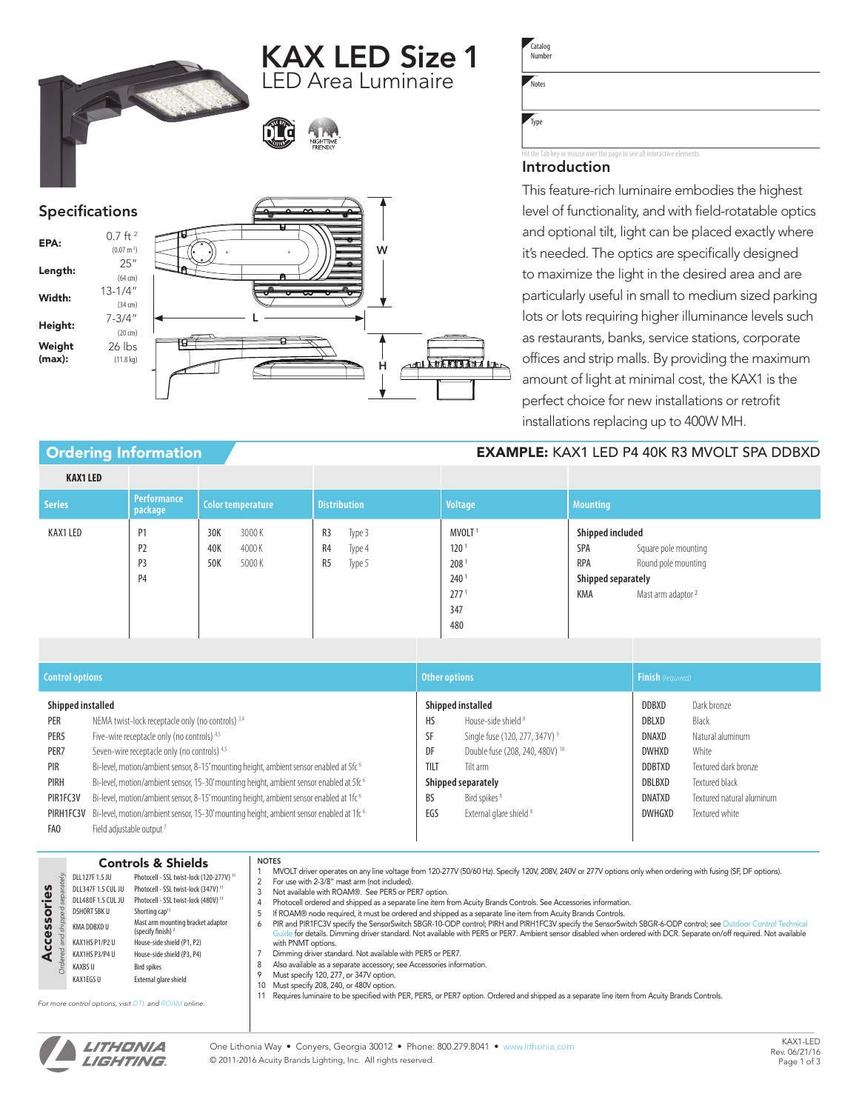KAX LED Size 1 LED Area Luminaire



## Specifications

 $(0.07 \text{ m}^2)$ 

(64 cm)

(34 cm)

(20 cm)

26 lbs (11.8 kg)

# **EPA:**  $0.7 \text{ ft}^2$ **Length:**  $25''$ Width: 13-1/4" Height:  $7-3/4"$ Weight (max):



**Catalog** Number

Notes

Type

## to see all interactive

## Introduction

This feature-rich luminaire embodies the highest level of functionality, and with field-rotatable optics and optional tilt, light can be placed exactly where it's needed. The optics are specifically designed to maximize the light in the desired area and are particularly useful in small to medium sized parking lots or lots requiring higher illuminance levels such as restaurants, banks, service stations, corporate offices and strip malls. By providing the maximum amount of light at minimal cost, the KAX1 is the perfect choice for new installations or retrofit installations replacing up to 400W MH.

## Ordering Information **EXAMPLE:** KAX1 LED P4 40K R3 MVOLT SPA DDBXD

| <b>KAX1 LED</b> |                                              |                                              |                                                          |                                                                                                                  |                                                                                                                                         |
|-----------------|----------------------------------------------|----------------------------------------------|----------------------------------------------------------|------------------------------------------------------------------------------------------------------------------|-----------------------------------------------------------------------------------------------------------------------------------------|
| <b>Series</b>   | <b>Performance</b><br>package                | Color temperature                            | <b>Distribution</b>                                      | Voltage                                                                                                          | <b>Mounting</b>                                                                                                                         |
| KAX1 LED        | P <sub>1</sub><br>P <sub>2</sub><br>P3<br>P4 | 3000K<br>30K<br>40K<br>4000K<br>50K<br>5000K | R3<br>Type 3<br>R4<br>Type 4<br>R <sub>5</sub><br>Type 5 | MVOLT <sup>1</sup><br>120 <sup>1</sup><br>208 <sup>1</sup><br>240 <sup>1</sup><br>277 <sup>1</sup><br>347<br>480 | Shipped included<br>SPA<br>Square pole mounting<br>Round pole mounting<br><b>RPA</b><br>Shipped separately<br>KMA<br>Mast arm adaptor 2 |

| <b>Control options</b>                                                                       |                                                                                                                                                                                                                                                                                                                                                                                                                                                                                                                                                                            | Other options                              |                                                                                                                                                                                                                                         |                                                                                               | <b>Finish</b> (required)                                                                                                                   |  |  |
|----------------------------------------------------------------------------------------------|----------------------------------------------------------------------------------------------------------------------------------------------------------------------------------------------------------------------------------------------------------------------------------------------------------------------------------------------------------------------------------------------------------------------------------------------------------------------------------------------------------------------------------------------------------------------------|--------------------------------------------|-----------------------------------------------------------------------------------------------------------------------------------------------------------------------------------------------------------------------------------------|-----------------------------------------------------------------------------------------------|--------------------------------------------------------------------------------------------------------------------------------------------|--|--|
| Shipped installed<br>PER<br>PER <sub>5</sub><br>PER7<br>PIR<br>PIRH<br>PIR1FC3V<br>PIRH1FC3V | NEMA twist-lock receptacle only (no controls) 3,4<br>Five-wire receptacle only (no controls) 4,5<br>Seven-wire receptacle only (no controls) 4,5<br>Bi-level, motion/ambient sensor, 8-15' mounting height, ambient sensor enabled at 5fc <sup>6</sup><br>Bi-level, motion/ambient sensor, 15-30' mounting height, ambient sensor enabled at 5fc <sup>6</sup><br>Bi-level, motion/ambient sensor, 8-15' mounting height, ambient sensor enabled at 1fc <sup>6</sup><br>Bi-level, motion/ambient sensor, 15-30' mounting height, ambient sensor enabled at 1fc <sup>6</sup> | <b>HS</b><br>SF<br>DF<br>TILT<br>BS<br>EGS | Shipped installed<br>House-side shield 8<br>Single fuse (120, 277, 347V) <sup>9</sup><br>Double fuse (208, 240, 480V) <sup>10</sup><br>Tilt arm<br>Shipped separately<br>Bird spikes <sup>8</sup><br>External glare shield <sup>8</sup> | DDBXD<br>DBLXD<br>DNAXD<br><b>DWHXD</b><br><b>DDBTXD</b><br>DBLBXD<br><b>DNATXD</b><br>DWHGXD | Dark bronze<br>Black<br>Natural aluminum<br>White<br>Textured dark bronze<br>Textured black<br>Textured natural aluminum<br>Textured white |  |  |
| FAO                                                                                          | Field adjustable output <sup>7</sup>                                                                                                                                                                                                                                                                                                                                                                                                                                                                                                                                       |                                            |                                                                                                                                                                                                                                         |                                                                                               |                                                                                                                                            |  |  |

#### Controls & Shields NOTES 1 MVOLT driver operates on any line voltage from 120-277V (50/60 Hz). Specify 120V, 208V, 240V or 277V options only when ordering with fusing (SF, DF options). DLL127F 1.5 JU Photocell - SSL twist-lock (120-277V) 11  $ateV$ *Ordered and shipped separately.*  2 For use with 2-3/8" mast arm (not included).<br>3 Not available with ROAM®. See PER5 or PE DLL347F 1.5 CUL JU Photocell - SSL twist-lock (347V) 11 Accessories Accessories Not available with ROAM®. See PER5 or PER7 option. DLL480F 1.5 CUL JU Photocell - SSL twist-lock (480V) <sup>11</sup><br>DSHORT SBK U Shorting cap<sup>11</sup> 4 Photocell ordered and shipped as a separate line item from Acuity Brands Controls. See Accessories information. Shorting cap<sup>1</sup> 5 If ROAM® node required, it must be ordered and shipped as a separate line item from Acuity Brands Controls.<br>6 PIR and PIR1FC3V specify the SensorSwitch SBGR-10-ODP control; PIRH and PIRH1FC3V specify the SensorSwitch SBG KMA DDBXD U Mast arm mounting bracket adaptor (specify finish) 2 Guide for details. Dimming driver standard. Not available with PER5 or PER7. Ambient sensor disabled when ordered with DCR. Separate on/off required. Not available KAX1HS P1/P2 U House-side shield (P1, P2) with PNMT options. KAX1HS P3/P4 U House-side shield (P3, P4) 7 Dimming driver standard. Not available with PER5 or PER7. 8 Also available as a separate accessory; see Accessories information. KAXBS U Bird spikes 9 Must specify 120, 277, or 347V option.<br>10 Must specify 208, 240, or 480V option. KAX1EGS U External glare shield 10 Must specify 208, 240, or 480V option.<br>11 Requires luminaire to be specified with 11 Requires luminaire to be specified with PER, PER5, or PER7 option. Ordered and shipped as a separate line item from Acuity Brands Controls.

*For more control options, visit DTL and ROAM online.*

LITHONIA *LIGHTING.*  One Lithonia Way • Conyers, Georgia 30012 • Phone: 800.279.8041 • www.lithonia.com © 2011-2016 Acuity Brands Lighting, Inc. All rights reserved.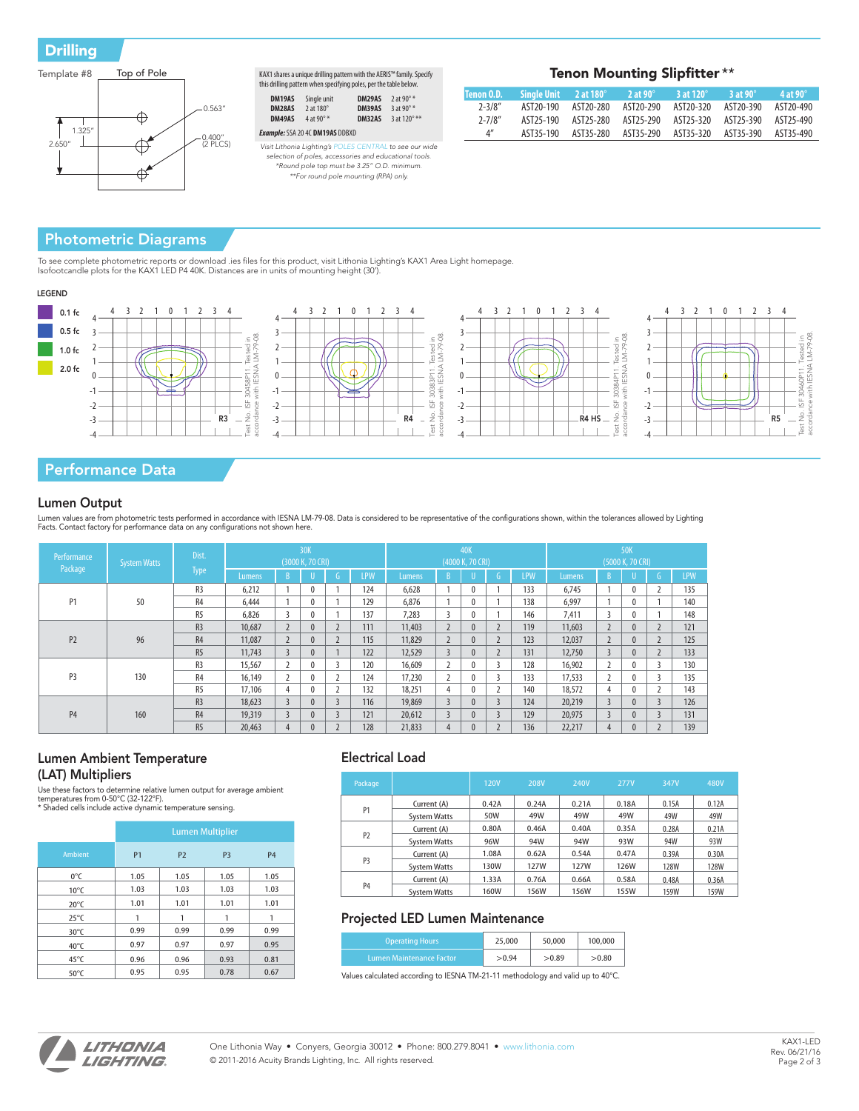**Drilling** 



| KAX1 shares a unique drilling pattern with the AERIS™ family. Specify<br>this drilling pattern when specifying poles, per the table below. |             |        |                     |  |  |  |  |
|--------------------------------------------------------------------------------------------------------------------------------------------|-------------|--------|---------------------|--|--|--|--|
| DM19AS                                                                                                                                     | Single unit | DM29AS | 2 at 90 $\degree$ * |  |  |  |  |
| -------                                                                                                                                    | $-1400$     |        | $A = A A B$         |  |  |  |  |

| DM28AS $2$ at 180 $^{\circ}$ |                                               | <b>DM39AS</b> 3 at 90 $\degree$ * |                            |
|------------------------------|-----------------------------------------------|-----------------------------------|----------------------------|
| DM49AS                       | 4 at 90 $^{\circ}$ *                          |                                   | <b>DM32AS</b> 3 at 120° ** |
|                              | <b>Example:</b> SSA 20 4C <b>DM19AS</b> DDBXD |                                   |                            |
|                              |                                               |                                   |                            |

*Visit Lithonia Lighting's POLES CENTRAL to see our wide selection of poles, accessories and educational tools. \*Round pole top must be 3.25" O.D. minimum. \*\*For round pole mounting (RPA) only.*

| Tenon Mounting Slipfitter ** |  |  |
|------------------------------|--|--|
|------------------------------|--|--|

| Tenon O.D.                        |  |                                         |                                                             | $^{\prime}$ 3 at 120 $^{\circ}$ $\,$ 3 at 90 $^{\circ}$ $\,$ | $-4$ at 90 $^{\circ}$ |
|-----------------------------------|--|-----------------------------------------|-------------------------------------------------------------|--------------------------------------------------------------|-----------------------|
| $2 - 3/8''$                       |  | AST20-190 AST20-280 AST20-290 AST20-320 |                                                             | AST20-390 AST20-490                                          |                       |
| $2 - 7/8''$                       |  |                                         | AST25-190 AST25-280 AST25-290 AST25-320 AST25-390 AST25-490 |                                                              |                       |
| $\mathbf{\Lambda}^{\prime\prime}$ |  |                                         | AST35-190 AST35-280 AST35-290 AST35-320 AST35-390 AST35-490 |                                                              |                       |

## Photometric Diagrams

To see complete photometric reports or download .ies files for this product, visit Lithonia Lighting's KAX1 Area Light homepage.<br>Isofootcandle plots for the KAX1 LED P4 40K. Distances are in units of mounting height (30').

### LEGEND



## Performance Data

### Lumen Output

Lumen values are from photometric tests performed in accordance with IESNA LM-79-08. Data is considered to be representative of the configurations shown, within the tolerances allowed by Lighting<br>Facts. Contact factory for

| Performance           | <b>System Watts</b> | Dist.          | 30K<br>(3000 K, 70 CRI) |              |              | <b>40K</b><br>(4000 K, 70 CRI) |        |                |                | 50K<br>(5000 K, 70 CRI) |                          |            |        |                |              |               |            |
|-----------------------|---------------------|----------------|-------------------------|--------------|--------------|--------------------------------|--------|----------------|----------------|-------------------------|--------------------------|------------|--------|----------------|--------------|---------------|------------|
| Package               |                     | <b>Type</b>    | Lumens                  |              |              | G.                             | LPW    | Lumens         | $\overline{B}$ |                         | G.                       | <b>LPW</b> | Lumens | $\overline{B}$ | U            | $\mathsf{G}$  | <b>LPW</b> |
|                       |                     | R <sub>3</sub> | 6.212                   |              | $\Omega$     |                                | 124    | 6.628          |                | $\mathbf{0}$            |                          | 133        | 6.745  |                | $\mathbf{0}$ |               | 135        |
| P <sub>1</sub>        | 50                  | R <sub>4</sub> | 6.444                   |              | $\Omega$     |                                | 129    | 6,876          |                | $\mathbf{0}$            |                          | 138        | 6,997  |                | $\mathbf{0}$ |               | 140        |
|                       |                     | R <sub>5</sub> | 6.826                   |              | $\theta$     |                                | 137    | 7.283          | 3              | $\mathbf{0}$            |                          | 146        | 7.411  |                | $\mathbf{0}$ |               | 148        |
|                       | R <sub>3</sub>      | 10,687         |                         | $\mathbf{0}$ |              | 111                            | 11.403 | $\sim$         | $\mathbf{0}$   |                         | 119                      | 11,603     |        | $\mathbf{0}$   |              | 121           |            |
| P <sub>2</sub>        | 96                  | R4             | 11.087                  |              | $\theta$     | $\mathcal{L}$                  | 115    | 11.829         | $\overline{2}$ | $\mathbf{0}$            | $\mathcal{L}$            | 123        | 12,037 |                | $\mathbf{0}$ | $\mathcal{L}$ | 125        |
|                       |                     | R5             | 11.743                  | 3            | $\theta$     |                                | 122    | 12,529         | $\overline{3}$ | $\mathbf{0}$            | $\mathcal{L}$            | 131        | 12,750 | $\overline{3}$ | $\mathbf{0}$ |               | 133        |
|                       |                     | R <sub>3</sub> | 15,567                  |              | $\Omega$     |                                | 120    | 16,609         |                | $\mathbf{0}$            | 3                        | 128        | 16,902 |                | $\mathbf{0}$ |               | 130        |
| P <sub>3</sub><br>130 | R <sub>4</sub>      | 16.149         |                         | $\theta$     |              | 124                            | 17.230 | $\overline{ }$ | $\mathbf{0}$   | ξ                       | 133                      | 17,533     |        | $\theta$       |              | 135           |            |
|                       | R <sub>5</sub>      | 17,106         | 4                       | $\theta$     |              | 132                            | 18,251 | 4              | $\mathbf{0}$   |                         | 140                      | 18,572     | 4      | $\mathbf{0}$   |              | 143           |            |
| <b>P4</b><br>160      | R <sub>3</sub>      | 18.623         | $\overline{\mathbf{3}}$ | $\mathbf{0}$ |              | 116                            | 19.869 | $\overline{3}$ | $\mathbf{0}$   | $\overline{\mathbf{3}}$ | 124                      | 20.219     | 3      | $\mathbf{0}$   |              | 126           |            |
|                       |                     | R4             | 19,319                  | 3            | $\mathbf{0}$ |                                | 121    | 20,612         | $\overline{3}$ | $\mathbf{0}$            | $\overline{\phantom{a}}$ | 129        | 20,975 |                | $\mathbf{0}$ |               | 131        |
|                       |                     | R5             | 20.463                  | 4            | $\mathbf{0}$ |                                | 128    | 21,833         | 4              | $\mathbf{0}$            |                          | 136        | 22,217 | 4              | $\mathbf{0}$ |               | 139        |

### Lumen Ambient Temperature (LAT) Multipliers

Use these factors to determine relative lumen output for average ambient<br>temperatures from 0-50°C (32-122°F).<br>\* Shaded cells include active dynamic temperature sensing.

|                | <b>Lumen Multiplier</b> |                |                |           |  |  |  |  |  |  |  |
|----------------|-------------------------|----------------|----------------|-----------|--|--|--|--|--|--|--|
| <b>Ambient</b> | P <sub>1</sub>          | P <sub>2</sub> | P <sub>3</sub> | <b>P4</b> |  |  |  |  |  |  |  |
| 0°C            | 1.05                    | 1.05           | 1.05           | 1.05      |  |  |  |  |  |  |  |
| $10^{\circ}$ C | 1.03                    | 1.03           | 1.03           | 1.03      |  |  |  |  |  |  |  |
| $20^{\circ}$ C | 1.01                    | 1.01           | 1.01           | 1.01      |  |  |  |  |  |  |  |
| $25^{\circ}$ C | 1                       | 1              | 1              | 1         |  |  |  |  |  |  |  |
| $30^{\circ}$ C | 0.99                    | 0.99           | 0.99           | 0.99      |  |  |  |  |  |  |  |
| $40^{\circ}$ C | 0.97                    | 0.97           | 0.97           | 0.95      |  |  |  |  |  |  |  |
| $45^{\circ}$ C | 0.96                    | 0.96           | 0.93           | 0.81      |  |  |  |  |  |  |  |
| $50^{\circ}$ C | 0.95                    | 0.95           | 0.78           | 0.67      |  |  |  |  |  |  |  |

### Electrical Load

| Package        |                     | <b>120V</b> | 208V        | 240V  | <b>277V</b> | 347V        | 480V        |
|----------------|---------------------|-------------|-------------|-------|-------------|-------------|-------------|
|                | Current (A)         | 0.42A       | 0.24A       | 0.21A | 0.18A       | 0.15A       | 0.12A       |
| P <sub>1</sub> | <b>System Watts</b> | 50W         | 49W         | 49W   | 49W         | 49W         | 49W         |
|                | Current (A)         | 0.80A       | 0.46A       | 0.40A | 0.35A       | 0.28A       | 0.21A       |
| P <sub>2</sub> | <b>System Watts</b> | 96W         | 94W         | 94W   | 93W         | 94W         | 93W         |
|                | Current (A)         | 1.08A       | 0.62A       | 0.54A | 0.47A       | 0.39A       | 0.30A       |
| P <sub>3</sub> | <b>System Watts</b> | 130W        | <b>127W</b> | 127W  | <b>126W</b> | <b>128W</b> | <b>128W</b> |
|                | Current (A)         | 1.33A       | 0.76A       | 0.66A | 0.58A       | 0.48A       | 0.36A       |
| <b>P4</b>      | <b>System Watts</b> | 160W        | 156W        | 156W  | 155W        | 159W        | <b>159W</b> |

### Projected LED Lumen Maintenance

| <b>Operating Hours</b>          | 25,000 | 50,000 | 100,000 |
|---------------------------------|--------|--------|---------|
| <b>Lumen Maintenance Factor</b> | > 0.94 | >0.89  | >0.80   |

Values calculated according to IESNA TM-21-11 methodology and valid up to 40°C.